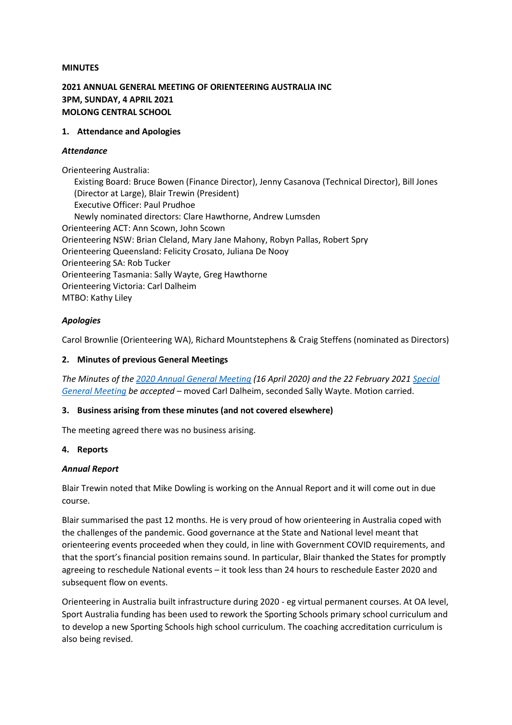## **MINUTES**

# **2021 ANNUAL GENERAL MEETING OF ORIENTEERING AUSTRALIA INC 3PM, SUNDAY, 4 APRIL 2021 MOLONG CENTRAL SCHOOL**

### **1. Attendance and Apologies**

### *Attendance*

Orienteering Australia: Existing Board: Bruce Bowen (Finance Director), Jenny Casanova (Technical Director), Bill Jones (Director at Large), Blair Trewin (President) Executive Officer: Paul Prudhoe Newly nominated directors: Clare Hawthorne, Andrew Lumsden Orienteering ACT: Ann Scown, John Scown Orienteering NSW: Brian Cleland, Mary Jane Mahony, Robyn Pallas, Robert Spry Orienteering Queensland: Felicity Crosato, Juliana De Nooy Orienteering SA: Rob Tucker Orienteering Tasmania: Sally Wayte, Greg Hawthorne Orienteering Victoria: Carl Dalheim MTBO: Kathy Liley

## *Apologies*

Carol Brownlie (Orienteering WA), Richard Mountstephens & Craig Steffens (nominated as Directors)

## **2. Minutes of previous General Meetings**

*The Minutes of the [2020 Annual General Meeting](http://orienteering.asn.au/wp-content/uploads/2021/03/Minutes-OA-AGM-2020-draft-v-3-1.pdf) (16 April 2020) and the 22 February 2021 [Special](http://orienteering.asn.au/wp-content/uploads/2021/04/2021-OA-SGM-minutes_approved.pdf)  [General Meeting](http://orienteering.asn.au/wp-content/uploads/2021/04/2021-OA-SGM-minutes_approved.pdf) be accepted* – moved Carl Dalheim, seconded Sally Wayte. Motion carried.

## **3. Business arising from these minutes (and not covered elsewhere)**

The meeting agreed there was no business arising.

## **4. Reports**

## *Annual Report*

Blair Trewin noted that Mike Dowling is working on the Annual Report and it will come out in due course.

Blair summarised the past 12 months. He is very proud of how orienteering in Australia coped with the challenges of the pandemic. Good governance at the State and National level meant that orienteering events proceeded when they could, in line with Government COVID requirements, and that the sport's financial position remains sound. In particular, Blair thanked the States for promptly agreeing to reschedule National events – it took less than 24 hours to reschedule Easter 2020 and subsequent flow on events.

Orienteering in Australia built infrastructure during 2020 - eg virtual permanent courses. At OA level, Sport Australia funding has been used to rework the Sporting Schools primary school curriculum and to develop a new Sporting Schools high school curriculum. The coaching accreditation curriculum is also being revised.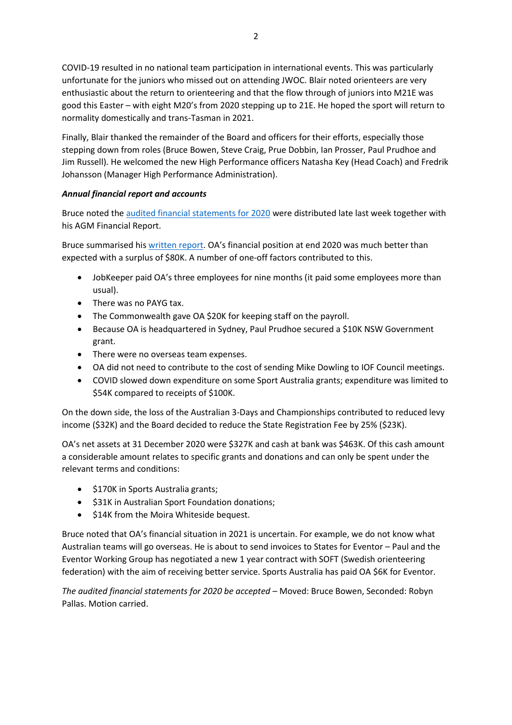COVID-19 resulted in no national team participation in international events. This was particularly unfortunate for the juniors who missed out on attending JWOC. Blair noted orienteers are very enthusiastic about the return to orienteering and that the flow through of juniors into M21E was good this Easter – with eight M20's from 2020 stepping up to 21E. He hoped the sport will return to normality domestically and trans-Tasman in 2021.

Finally, Blair thanked the remainder of the Board and officers for their efforts, especially those stepping down from roles (Bruce Bowen, Steve Craig, Prue Dobbin, Ian Prosser, Paul Prudhoe and Jim Russell). He welcomed the new High Performance officers Natasha Key (Head Coach) and Fredrik Johansson (Manager High Performance Administration).

# *Annual financial report and accounts*

Bruce noted th[e audited financial statements for 2020](https://orienteering.asn.au/wp-content/uploads/2021/03/Orienteering-Australia-Audited-Financial-Statements-2020.pdf) were distributed late last week together with his AGM Financial Report.

Bruce summarised hi[s written report.](https://orienteering.asn.au/wp-content/uploads/2021/03/OA-Finance-Report-for-2020-accounts-.pdf) OA's financial position at end 2020 was much better than expected with a surplus of \$80K. A number of one-off factors contributed to this.

- JobKeeper paid OA's three employees for nine months (it paid some employees more than usual).
- There was no PAYG tax.
- The Commonwealth gave OA \$20K for keeping staff on the payroll.
- Because OA is headquartered in Sydney, Paul Prudhoe secured a \$10K NSW Government grant.
- There were no overseas team expenses.
- OA did not need to contribute to the cost of sending Mike Dowling to IOF Council meetings.
- COVID slowed down expenditure on some Sport Australia grants; expenditure was limited to \$54K compared to receipts of \$100K.

On the down side, the loss of the Australian 3-Days and Championships contributed to reduced levy income (\$32K) and the Board decided to reduce the State Registration Fee by 25% (\$23K).

OA's net assets at 31 December 2020 were \$327K and cash at bank was \$463K. Of this cash amount a considerable amount relates to specific grants and donations and can only be spent under the relevant terms and conditions:

- \$170K in Sports Australia grants;
- \$31K in Australian Sport Foundation donations;
- \$14K from the Moira Whiteside bequest.

Bruce noted that OA's financial situation in 2021 is uncertain. For example, we do not know what Australian teams will go overseas. He is about to send invoices to States for Eventor – Paul and the Eventor Working Group has negotiated a new 1 year contract with SOFT (Swedish orienteering federation) with the aim of receiving better service. Sports Australia has paid OA \$6K for Eventor.

*The audited financial statements for 2020 be accepted* – Moved: Bruce Bowen, Seconded: Robyn Pallas. Motion carried.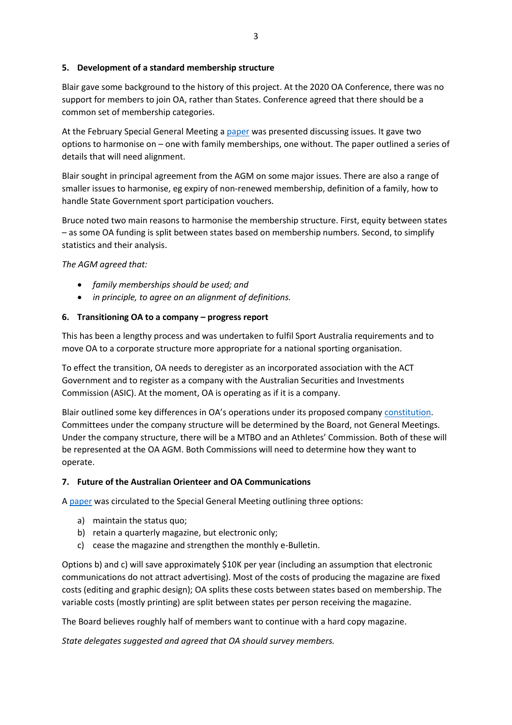## **5. Development of a standard membership structure**

Blair gave some background to the history of this project. At the 2020 OA Conference, there was no support for members to join OA, rather than States. Conference agreed that there should be a common set of membership categories.

At the February Special General Meeting a [paper](https://orienteering.asn.au/wp-content/uploads/2021/03/2021-OA-AGM-membership-updated-from-SGM.pdf) was presented discussing issues. It gave two options to harmonise on – one with family memberships, one without. The paper outlined a series of details that will need alignment.

Blair sought in principal agreement from the AGM on some major issues. There are also a range of smaller issues to harmonise, eg expiry of non-renewed membership, definition of a family, how to handle State Government sport participation vouchers.

Bruce noted two main reasons to harmonise the membership structure. First, equity between states – as some OA funding is split between states based on membership numbers. Second, to simplify statistics and their analysis.

## *The AGM agreed that:*

- *family memberships should be used; and*
- *in principle, to agree on an alignment of definitions.*

## **6. Transitioning OA to a company – progress report**

This has been a lengthy process and was undertaken to fulfil Sport Australia requirements and to move OA to a corporate structure more appropriate for a national sporting organisation.

To effect the transition, OA needs to deregister as an incorporated association with the ACT Government and to register as a company with the Australian Securities and Investments Commission (ASIC). At the moment, OA is operating as if it is a company.

Blair outlined some key differences in OA's operations under its proposed company [constitution.](https://orienteering.asn.au/wp-content/uploads/2021/02/2021-OA-SGM-proposed-constitution-for-Orienteering-Australia-Ltd.pdf) Committees under the company structure will be determined by the Board, not General Meetings. Under the company structure, there will be a MTBO and an Athletes' Commission. Both of these will be represented at the OA AGM. Both Commissions will need to determine how they want to operate.

## **7. Future of the Australian Orienteer and OA Communications**

A [paper](https://orienteering.asn.au/wp-content/uploads/2021/03/2021-OA-AGM-Australian-Orienteer.pdf) was circulated to the Special General Meeting outlining three options:

- a) maintain the status quo;
- b) retain a quarterly magazine, but electronic only;
- c) cease the magazine and strengthen the monthly e-Bulletin.

Options b) and c) will save approximately \$10K per year (including an assumption that electronic communications do not attract advertising). Most of the costs of producing the magazine are fixed costs (editing and graphic design); OA splits these costs between states based on membership. The variable costs (mostly printing) are split between states per person receiving the magazine.

The Board believes roughly half of members want to continue with a hard copy magazine.

*State delegates suggested and agreed that OA should survey members.*